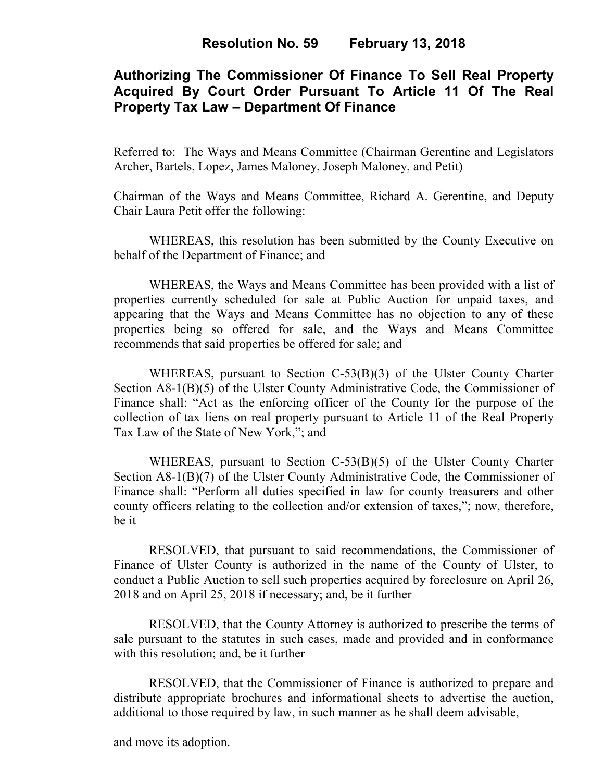# **Authorizing The Commissioner Of Finance To Sell Real Property Acquired By Court Order Pursuant To Article 11 Of The Real Property Tax Law – Department Of Finance**

Referred to: The Ways and Means Committee (Chairman Gerentine and Legislators Archer, Bartels, Lopez, James Maloney, Joseph Maloney, and Petit)

Chairman of the Ways and Means Committee, Richard A. Gerentine, and Deputy Chair Laura Petit offer the following:

WHEREAS, this resolution has been submitted by the County Executive on behalf of the Department of Finance; and

 WHEREAS, the Ways and Means Committee has been provided with a list of properties currently scheduled for sale at Public Auction for unpaid taxes, and appearing that the Ways and Means Committee has no objection to any of these properties being so offered for sale, and the Ways and Means Committee recommends that said properties be offered for sale; and

 WHEREAS, pursuant to Section C-53(B)(3) of the Ulster County Charter Section A8-1(B)(5) of the Ulster County Administrative Code, the Commissioner of Finance shall: "Act as the enforcing officer of the County for the purpose of the collection of tax liens on real property pursuant to Article 11 of the Real Property Tax Law of the State of New York,"; and

 WHEREAS, pursuant to Section C-53(B)(5) of the Ulster County Charter Section A8-1(B)(7) of the Ulster County Administrative Code, the Commissioner of Finance shall: "Perform all duties specified in law for county treasurers and other county officers relating to the collection and/or extension of taxes,"; now, therefore, be it

RESOLVED, that pursuant to said recommendations, the Commissioner of Finance of Ulster County is authorized in the name of the County of Ulster, to conduct a Public Auction to sell such properties acquired by foreclosure on April 26, 2018 and on April 25, 2018 if necessary; and, be it further

RESOLVED, that the County Attorney is authorized to prescribe the terms of sale pursuant to the statutes in such cases, made and provided and in conformance with this resolution; and, be it further

 RESOLVED, that the Commissioner of Finance is authorized to prepare and distribute appropriate brochures and informational sheets to advertise the auction, additional to those required by law, in such manner as he shall deem advisable,

and move its adoption.